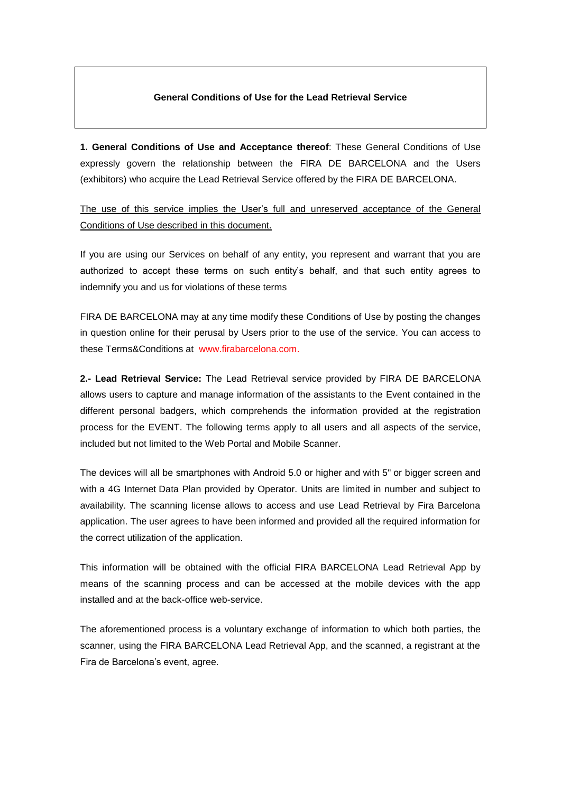## **General Conditions of Use for the Lead Retrieval Service**

**1. General Conditions of Use and Acceptance thereof**: These General Conditions of Use expressly govern the relationship between the FIRA DE BARCELONA and the Users (exhibitors) who acquire the Lead Retrieval Service offered by the FIRA DE BARCELONA.

The use of this service implies the User's full and unreserved acceptance of the General Conditions of Use described in this document.

If you are using our Services on behalf of any entity, you represent and warrant that you are authorized to accept these terms on such entity's behalf, and that such entity agrees to indemnify you and us for violations of these terms

FIRA DE BARCELONA may at any time modify these Conditions of Use by posting the changes in question online for their perusal by Users prior to the use of the service. You can access to these Terms&Conditions at www.firabarcelona.com.

**2.- Lead Retrieval Service:** The Lead Retrieval service provided by FIRA DE BARCELONA allows users to capture and manage information of the assistants to the Event contained in the different personal badgers, which comprehends the information provided at the registration process for the EVENT. The following terms apply to all users and all aspects of the service, included but not limited to the Web Portal and Mobile Scanner.

The devices will all be smartphones with Android 5.0 or higher and with 5" or bigger screen and with a 4G Internet Data Plan provided by Operator. Units are limited in number and subject to availability. The scanning license allows to access and use Lead Retrieval by Fira Barcelona application. The user agrees to have been informed and provided all the required information for the correct utilization of the application.

This information will be obtained with the official FIRA BARCELONA Lead Retrieval App by means of the scanning process and can be accessed at the mobile devices with the app installed and at the back-office web-service.

The aforementioned process is a voluntary exchange of information to which both parties, the scanner, using the FIRA BARCELONA Lead Retrieval App, and the scanned, a registrant at the Fira de Barcelona's event, agree.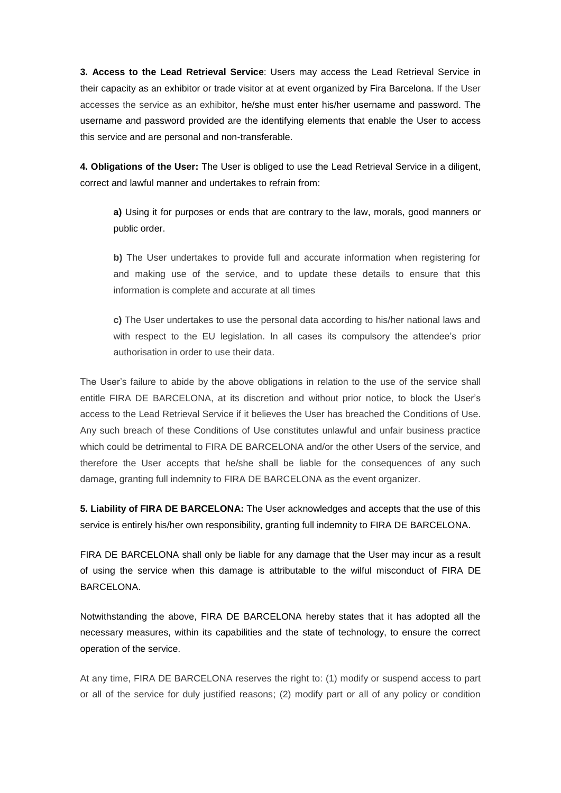**3. Access to the Lead Retrieval Service**: Users may access the Lead Retrieval Service in their capacity as an exhibitor or trade visitor at at event organized by Fira Barcelona. If the User accesses the service as an exhibitor, he/she must enter his/her username and password. The username and password provided are the identifying elements that enable the User to access this service and are personal and non-transferable.

**4. Obligations of the User:** The User is obliged to use the Lead Retrieval Service in a diligent, correct and lawful manner and undertakes to refrain from:

**a)** Using it for purposes or ends that are contrary to the law, morals, good manners or public order.

**b)** The User undertakes to provide full and accurate information when registering for and making use of the service, and to update these details to ensure that this information is complete and accurate at all times

**c)** The User undertakes to use the personal data according to his/her national laws and with respect to the EU legislation. In all cases its compulsory the attendee's prior authorisation in order to use their data.

The User's failure to abide by the above obligations in relation to the use of the service shall entitle FIRA DE BARCELONA, at its discretion and without prior notice, to block the User's access to the Lead Retrieval Service if it believes the User has breached the Conditions of Use. Any such breach of these Conditions of Use constitutes unlawful and unfair business practice which could be detrimental to FIRA DE BARCELONA and/or the other Users of the service, and therefore the User accepts that he/she shall be liable for the consequences of any such damage, granting full indemnity to FIRA DE BARCELONA as the event organizer.

**5. Liability of FIRA DE BARCELONA:** The User acknowledges and accepts that the use of this service is entirely his/her own responsibility, granting full indemnity to FIRA DE BARCELONA.

FIRA DE BARCELONA shall only be liable for any damage that the User may incur as a result of using the service when this damage is attributable to the wilful misconduct of FIRA DE BARCELONA.

Notwithstanding the above, FIRA DE BARCELONA hereby states that it has adopted all the necessary measures, within its capabilities and the state of technology, to ensure the correct operation of the service.

At any time, FIRA DE BARCELONA reserves the right to: (1) modify or suspend access to part or all of the service for duly justified reasons; (2) modify part or all of any policy or condition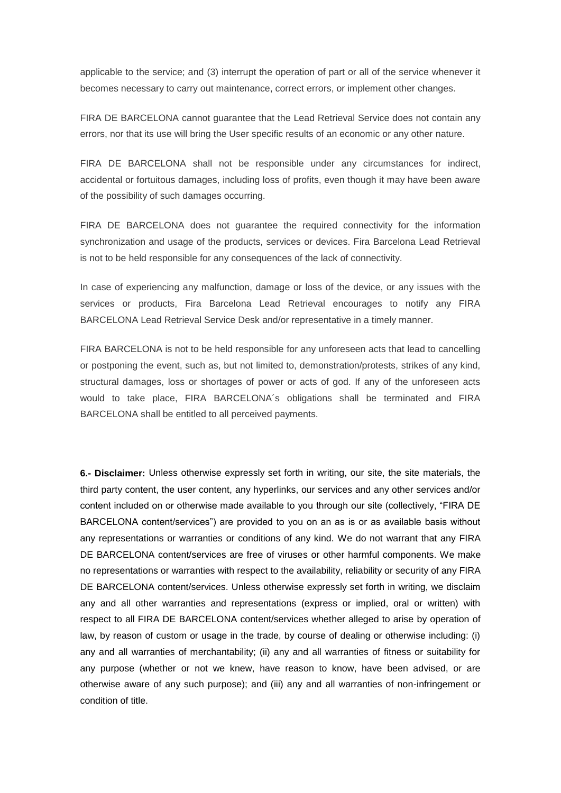applicable to the service; and (3) interrupt the operation of part or all of the service whenever it becomes necessary to carry out maintenance, correct errors, or implement other changes.

FIRA DE BARCELONA cannot guarantee that the Lead Retrieval Service does not contain any errors, nor that its use will bring the User specific results of an economic or any other nature.

FIRA DE BARCELONA shall not be responsible under any circumstances for indirect, accidental or fortuitous damages, including loss of profits, even though it may have been aware of the possibility of such damages occurring.

FIRA DE BARCELONA does not guarantee the required connectivity for the information synchronization and usage of the products, services or devices. Fira Barcelona Lead Retrieval is not to be held responsible for any consequences of the lack of connectivity.

In case of experiencing any malfunction, damage or loss of the device, or any issues with the services or products, Fira Barcelona Lead Retrieval encourages to notify any FIRA BARCELONA Lead Retrieval Service Desk and/or representative in a timely manner.

FIRA BARCELONA is not to be held responsible for any unforeseen acts that lead to cancelling or postponing the event, such as, but not limited to, demonstration/protests, strikes of any kind, structural damages, loss or shortages of power or acts of god. If any of the unforeseen acts would to take place, FIRA BARCELONA´s obligations shall be terminated and FIRA BARCELONA shall be entitled to all perceived payments.

**6.- Disclaimer:** Unless otherwise expressly set forth in writing, our site, the site materials, the third party content, the user content, any hyperlinks, our services and any other services and/or content included on or otherwise made available to you through our site (collectively, "FIRA DE BARCELONA content/services") are provided to you on an as is or as available basis without any representations or warranties or conditions of any kind. We do not warrant that any FIRA DE BARCELONA content/services are free of viruses or other harmful components. We make no representations or warranties with respect to the availability, reliability or security of any FIRA DE BARCELONA content/services. Unless otherwise expressly set forth in writing, we disclaim any and all other warranties and representations (express or implied, oral or written) with respect to all FIRA DE BARCELONA content/services whether alleged to arise by operation of law, by reason of custom or usage in the trade, by course of dealing or otherwise including: (i) any and all warranties of merchantability; (ii) any and all warranties of fitness or suitability for any purpose (whether or not we knew, have reason to know, have been advised, or are otherwise aware of any such purpose); and (iii) any and all warranties of non-infringement or condition of title.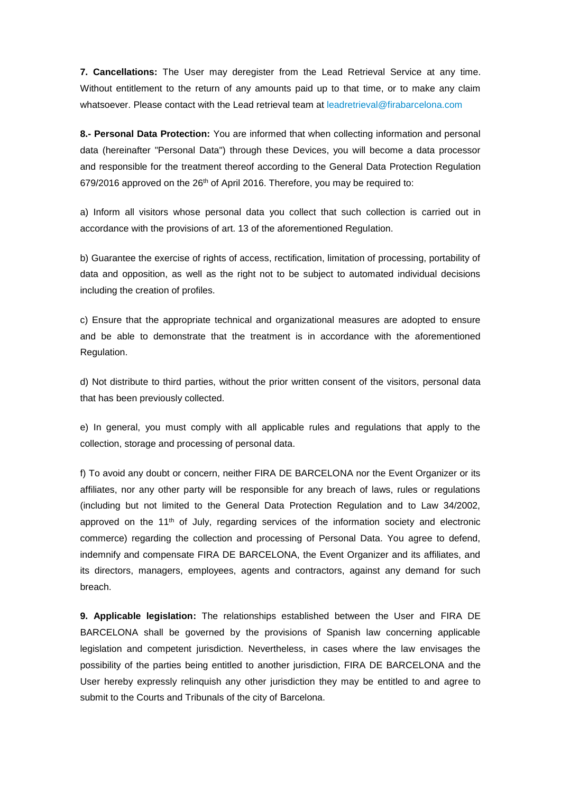**7. Cancellations:** The User may deregister from the Lead Retrieval Service at any time. Without entitlement to the return of any amounts paid up to that time, or to make any claim whatsoever. Please contact with the Lead retrieval team at [leadretrieval@firabarcelona.com](mailto:leadretrieval@firabarcelona.com)

**8.- Personal Data Protection:** You are informed that when collecting information and personal data (hereinafter "Personal Data") through these Devices, you will become a data processor and responsible for the treatment thereof according to the General Data Protection Regulation 679/2016 approved on the 26<sup>th</sup> of April 2016. Therefore, you may be required to:

a) Inform all visitors whose personal data you collect that such collection is carried out in accordance with the provisions of art. 13 of the aforementioned Regulation.

b) Guarantee the exercise of rights of access, rectification, limitation of processing, portability of data and opposition, as well as the right not to be subject to automated individual decisions including the creation of profiles.

c) Ensure that the appropriate technical and organizational measures are adopted to ensure and be able to demonstrate that the treatment is in accordance with the aforementioned Regulation.

d) Not distribute to third parties, without the prior written consent of the visitors, personal data that has been previously collected.

e) In general, you must comply with all applicable rules and regulations that apply to the collection, storage and processing of personal data.

f) To avoid any doubt or concern, neither FIRA DE BARCELONA nor the Event Organizer or its affiliates, nor any other party will be responsible for any breach of laws, rules or regulations (including but not limited to the General Data Protection Regulation and to Law 34/2002, approved on the 11th of July, regarding services of the information society and electronic commerce) regarding the collection and processing of Personal Data. You agree to defend, indemnify and compensate FIRA DE BARCELONA, the Event Organizer and its affiliates, and its directors, managers, employees, agents and contractors, against any demand for such breach.

**9. Applicable legislation:** The relationships established between the User and FIRA DE BARCELONA shall be governed by the provisions of Spanish law concerning applicable legislation and competent jurisdiction. Nevertheless, in cases where the law envisages the possibility of the parties being entitled to another jurisdiction, FIRA DE BARCELONA and the User hereby expressly relinquish any other jurisdiction they may be entitled to and agree to submit to the Courts and Tribunals of the city of Barcelona.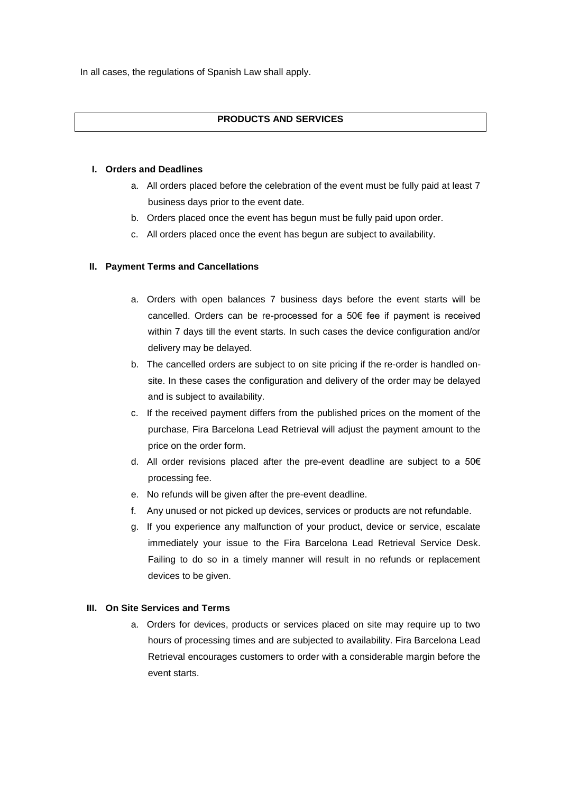In all cases, the regulations of Spanish Law shall apply.

# **PRODUCTS AND SERVICES**

#### **I. Orders and Deadlines**

- a. All orders placed before the celebration of the event must be fully paid at least 7 business days prior to the event date.
- b. Orders placed once the event has begun must be fully paid upon order.
- c. All orders placed once the event has begun are subject to availability.

## **II. Payment Terms and Cancellations**

- a. Orders with open balances 7 business days before the event starts will be cancelled. Orders can be re-processed for a 50€ fee if payment is received within 7 days till the event starts. In such cases the device configuration and/or delivery may be delayed.
- b. The cancelled orders are subject to on site pricing if the re-order is handled onsite. In these cases the configuration and delivery of the order may be delayed and is subject to availability.
- c. If the received payment differs from the published prices on the moment of the purchase, Fira Barcelona Lead Retrieval will adjust the payment amount to the price on the order form.
- d. All order revisions placed after the pre-event deadline are subject to a 50€ processing fee.
- e. No refunds will be given after the pre-event deadline.
- f. Any unused or not picked up devices, services or products are not refundable.
- g. If you experience any malfunction of your product, device or service, escalate immediately your issue to the Fira Barcelona Lead Retrieval Service Desk. Failing to do so in a timely manner will result in no refunds or replacement devices to be given.

## **III. On Site Services and Terms**

a. Orders for devices, products or services placed on site may require up to two hours of processing times and are subjected to availability. Fira Barcelona Lead Retrieval encourages customers to order with a considerable margin before the event starts.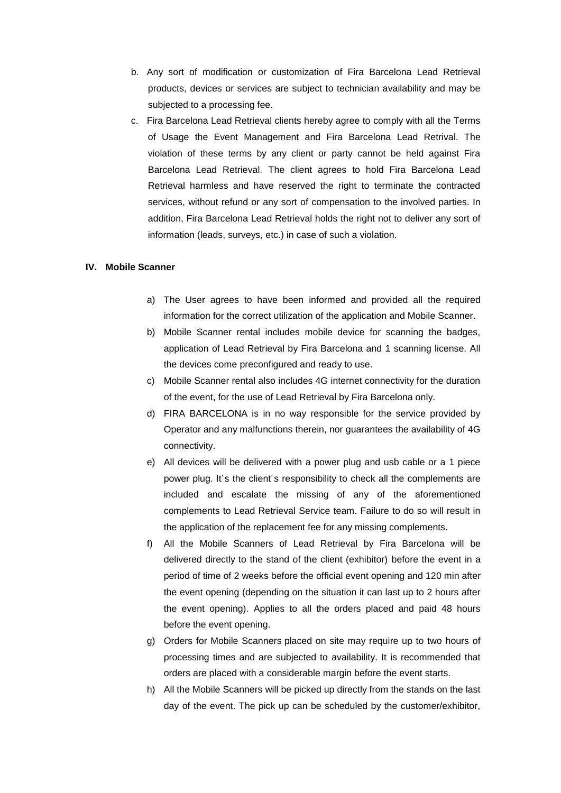- b. Any sort of modification or customization of Fira Barcelona Lead Retrieval products, devices or services are subject to technician availability and may be subjected to a processing fee.
- c. Fira Barcelona Lead Retrieval clients hereby agree to comply with all the Terms of Usage the Event Management and Fira Barcelona Lead Retrival. The violation of these terms by any client or party cannot be held against Fira Barcelona Lead Retrieval. The client agrees to hold Fira Barcelona Lead Retrieval harmless and have reserved the right to terminate the contracted services, without refund or any sort of compensation to the involved parties. In addition, Fira Barcelona Lead Retrieval holds the right not to deliver any sort of information (leads, surveys, etc.) in case of such a violation.

#### **IV. Mobile Scanner**

- a) The User agrees to have been informed and provided all the required information for the correct utilization of the application and Mobile Scanner.
- b) Mobile Scanner rental includes mobile device for scanning the badges, application of Lead Retrieval by Fira Barcelona and 1 scanning license. All the devices come preconfigured and ready to use.
- c) Mobile Scanner rental also includes 4G internet connectivity for the duration of the event, for the use of Lead Retrieval by Fira Barcelona only.
- d) FIRA BARCELONA is in no way responsible for the service provided by Operator and any malfunctions therein, nor guarantees the availability of 4G connectivity.
- e) All devices will be delivered with a power plug and usb cable or a 1 piece power plug. It´s the client´s responsibility to check all the complements are included and escalate the missing of any of the aforementioned complements to Lead Retrieval Service team. Failure to do so will result in the application of the replacement fee for any missing complements.
- f) All the Mobile Scanners of Lead Retrieval by Fira Barcelona will be delivered directly to the stand of the client (exhibitor) before the event in a period of time of 2 weeks before the official event opening and 120 min after the event opening (depending on the situation it can last up to 2 hours after the event opening). Applies to all the orders placed and paid 48 hours before the event opening.
- g) Orders for Mobile Scanners placed on site may require up to two hours of processing times and are subjected to availability. It is recommended that orders are placed with a considerable margin before the event starts.
- h) All the Mobile Scanners will be picked up directly from the stands on the last day of the event. The pick up can be scheduled by the customer/exhibitor,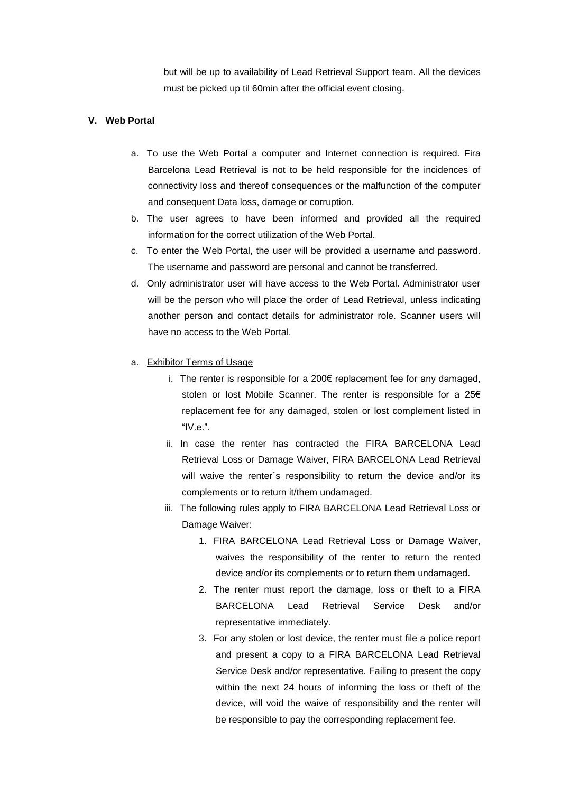but will be up to availability of Lead Retrieval Support team. All the devices must be picked up til 60min after the official event closing.

## **V. Web Portal**

- a. To use the Web Portal a computer and Internet connection is required. Fira Barcelona Lead Retrieval is not to be held responsible for the incidences of connectivity loss and thereof consequences or the malfunction of the computer and consequent Data loss, damage or corruption.
- b. The user agrees to have been informed and provided all the required information for the correct utilization of the Web Portal.
- c. To enter the Web Portal, the user will be provided a username and password. The username and password are personal and cannot be transferred.
- d. Only administrator user will have access to the Web Portal. Administrator user will be the person who will place the order of Lead Retrieval, unless indicating another person and contact details for administrator role. Scanner users will have no access to the Web Portal.
- a. Exhibitor Terms of Usage
	- i. The renter is responsible for a 200€ replacement fee for any damaged, stolen or lost Mobile Scanner. The renter is responsible for a 25€ replacement fee for any damaged, stolen or lost complement listed in "IV.e.".
	- ii. In case the renter has contracted the FIRA BARCELONA Lead Retrieval Loss or Damage Waiver, FIRA BARCELONA Lead Retrieval will waive the renter´s responsibility to return the device and/or its complements or to return it/them undamaged.
	- iii. The following rules apply to FIRA BARCELONA Lead Retrieval Loss or Damage Waiver:
		- 1. FIRA BARCELONA Lead Retrieval Loss or Damage Waiver, waives the responsibility of the renter to return the rented device and/or its complements or to return them undamaged.
		- 2. The renter must report the damage, loss or theft to a FIRA BARCELONA Lead Retrieval Service Desk and/or representative immediately.
		- 3. For any stolen or lost device, the renter must file a police report and present a copy to a FIRA BARCELONA Lead Retrieval Service Desk and/or representative. Failing to present the copy within the next 24 hours of informing the loss or theft of the device, will void the waive of responsibility and the renter will be responsible to pay the corresponding replacement fee.